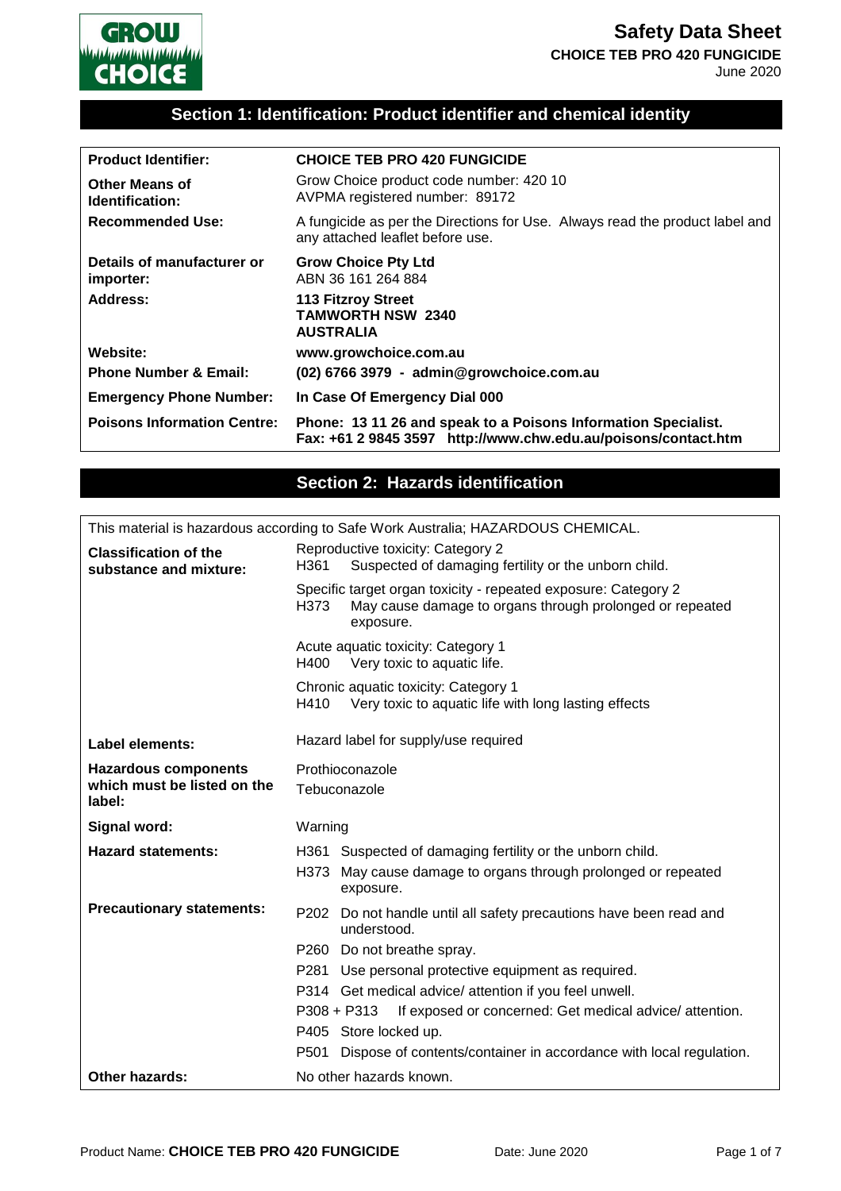

# **Section 1: Identification: Product identifier and chemical identity**

| <b>Product Identifier:</b>               | <b>CHOICE TEB PRO 420 FUNGICIDE</b>                                                                                              |
|------------------------------------------|----------------------------------------------------------------------------------------------------------------------------------|
| <b>Other Means of</b><br>Identification: | Grow Choice product code number: 420 10<br>AVPMA registered number: 89172                                                        |
| <b>Recommended Use:</b>                  | A fungicide as per the Directions for Use. Always read the product label and<br>any attached leaflet before use.                 |
| Details of manufacturer or<br>importer:  | <b>Grow Choice Pty Ltd</b><br>ABN 36 161 264 884                                                                                 |
| Address:                                 | <b>113 Fitzroy Street</b><br><b>TAMWORTH NSW 2340</b><br><b>AUSTRALIA</b>                                                        |
| Website:                                 | www.growchoice.com.au                                                                                                            |
| <b>Phone Number &amp; Email:</b>         | (02) 6766 3979 - admin@growchoice.com.au                                                                                         |
| <b>Emergency Phone Number:</b>           | In Case Of Emergency Dial 000                                                                                                    |
| <b>Poisons Information Centre:</b>       | Phone: 13 11 26 and speak to a Poisons Information Specialist.<br>Fax: +61 2 9845 3597 http://www.chw.edu.au/poisons/contact.htm |

### **Section 2: Hazards identification**

|                                                        | This material is hazardous according to Safe Work Australia; HAZARDOUS CHEMICAL.                                                                |  |  |
|--------------------------------------------------------|-------------------------------------------------------------------------------------------------------------------------------------------------|--|--|
| <b>Classification of the</b><br>substance and mixture: | Reproductive toxicity: Category 2<br>Suspected of damaging fertility or the unborn child.<br>H361                                               |  |  |
|                                                        | Specific target organ toxicity - repeated exposure: Category 2<br>May cause damage to organs through prolonged or repeated<br>H373<br>exposure. |  |  |
|                                                        | Acute aquatic toxicity: Category 1<br>H400<br>Very toxic to aquatic life.                                                                       |  |  |
|                                                        | Chronic aquatic toxicity: Category 1<br>H410<br>Very toxic to aquatic life with long lasting effects                                            |  |  |
| <b>Label elements:</b>                                 | Hazard label for supply/use required                                                                                                            |  |  |
| <b>Hazardous components</b>                            | Prothioconazole                                                                                                                                 |  |  |
| which must be listed on the<br>label:                  | Tebuconazole                                                                                                                                    |  |  |
| Signal word:                                           | Warning                                                                                                                                         |  |  |
| <b>Hazard statements:</b>                              | H361 Suspected of damaging fertility or the unborn child.                                                                                       |  |  |
|                                                        | May cause damage to organs through prolonged or repeated<br>H373<br>exposure.                                                                   |  |  |
| <b>Precautionary statements:</b>                       | P202 Do not handle until all safety precautions have been read and<br>understood.                                                               |  |  |
|                                                        | P260 Do not breathe spray.                                                                                                                      |  |  |
|                                                        | P281 Use personal protective equipment as required.                                                                                             |  |  |
|                                                        | P314 Get medical advice/ attention if you feel unwell.                                                                                          |  |  |
|                                                        | $P308 + P313$<br>If exposed or concerned: Get medical advice/attention.                                                                         |  |  |
|                                                        | P405 Store locked up.                                                                                                                           |  |  |
|                                                        | Dispose of contents/container in accordance with local regulation.<br>P501                                                                      |  |  |
| Other hazards:                                         | No other hazards known.                                                                                                                         |  |  |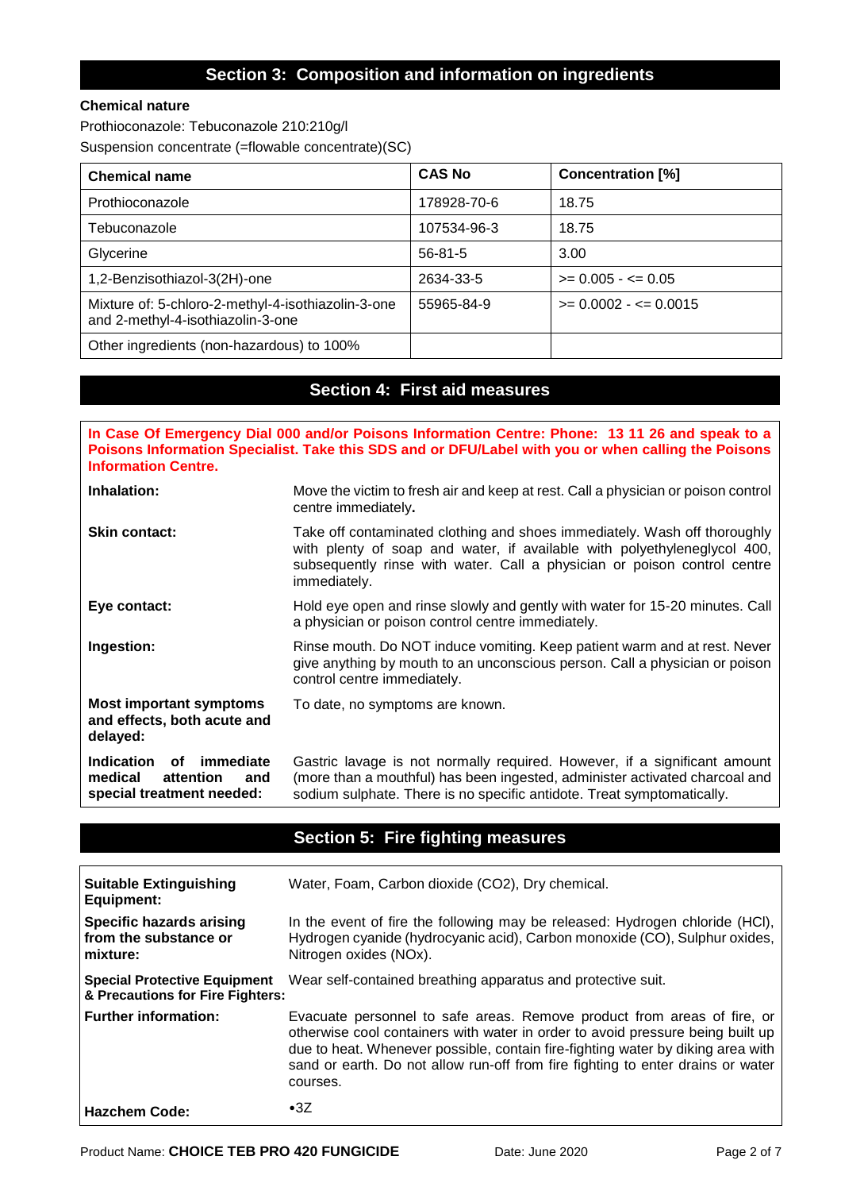### **Section 3: Composition and information on ingredients**

### **Chemical nature**

Prothioconazole: Tebuconazole 210:210g/l Suspension concentrate (=flowable concentrate)(SC)

| <b>Chemical name</b>                                                                    | <b>CAS No</b> | <b>Concentration [%]</b> |
|-----------------------------------------------------------------------------------------|---------------|--------------------------|
| Prothioconazole                                                                         | 178928-70-6   | 18.75                    |
| Tebuconazole                                                                            | 107534-96-3   | 18.75                    |
| Glycerine                                                                               | $56 - 81 - 5$ | 3.00                     |
| 1,2-Benzisothiazol-3(2H)-one                                                            | 2634-33-5     | $>= 0.005 - \le 0.05$    |
| Mixture of: 5-chloro-2-methyl-4-isothiazolin-3-one<br>and 2-methyl-4-isothiazolin-3-one | 55965-84-9    | $>= 0.0002 - \le 0.0015$ |
| Other ingredients (non-hazardous) to 100%                                               |               |                          |

# **Section 4: First aid measures**

| In Case Of Emergency Dial 000 and/or Poisons Information Centre: Phone: 13 11 26 and speak to a<br>Poisons Information Specialist. Take this SDS and or DFU/Label with you or when calling the Poisons<br><b>Information Centre.</b> |                                                                                                                                                                                                                                                   |  |
|--------------------------------------------------------------------------------------------------------------------------------------------------------------------------------------------------------------------------------------|---------------------------------------------------------------------------------------------------------------------------------------------------------------------------------------------------------------------------------------------------|--|
| Inhalation:                                                                                                                                                                                                                          | Move the victim to fresh air and keep at rest. Call a physician or poison control<br>centre immediately.                                                                                                                                          |  |
| <b>Skin contact:</b>                                                                                                                                                                                                                 | Take off contaminated clothing and shoes immediately. Wash off thoroughly<br>with plenty of soap and water, if available with polyethyleneglycol 400,<br>subsequently rinse with water. Call a physician or poison control centre<br>immediately. |  |
| Eye contact:                                                                                                                                                                                                                         | Hold eye open and rinse slowly and gently with water for 15-20 minutes. Call<br>a physician or poison control centre immediately.                                                                                                                 |  |
| Ingestion:                                                                                                                                                                                                                           | Rinse mouth. Do NOT induce vomiting. Keep patient warm and at rest. Never<br>give anything by mouth to an unconscious person. Call a physician or poison<br>control centre immediately.                                                           |  |
| <b>Most important symptoms</b><br>and effects, both acute and<br>delayed:                                                                                                                                                            | To date, no symptoms are known.                                                                                                                                                                                                                   |  |
| immediate<br><b>Indication</b><br>оf<br>medical<br>attention<br>and<br>special treatment needed:                                                                                                                                     | Gastric lavage is not normally required. However, if a significant amount<br>(more than a mouthful) has been ingested, administer activated charcoal and<br>sodium sulphate. There is no specific antidote. Treat symptomatically.                |  |

# **Section 5: Fire fighting measures**

| <b>Suitable Extinguishing</b><br><b>Equipment:</b>                      | Water, Foam, Carbon dioxide (CO2), Dry chemical.                                                                                                                                                                                                                                                                                            |
|-------------------------------------------------------------------------|---------------------------------------------------------------------------------------------------------------------------------------------------------------------------------------------------------------------------------------------------------------------------------------------------------------------------------------------|
| Specific hazards arising<br>from the substance or<br>mixture:           | In the event of fire the following may be released: Hydrogen chloride (HCI),<br>Hydrogen cyanide (hydrocyanic acid), Carbon monoxide (CO), Sulphur oxides,<br>Nitrogen oxides (NOx).                                                                                                                                                        |
| <b>Special Protective Equipment</b><br>& Precautions for Fire Fighters: | Wear self-contained breathing apparatus and protective suit.                                                                                                                                                                                                                                                                                |
| <b>Further information:</b>                                             | Evacuate personnel to safe areas. Remove product from areas of fire, or<br>otherwise cool containers with water in order to avoid pressure being built up<br>due to heat. Whenever possible, contain fire-fighting water by diking area with<br>sand or earth. Do not allow run-off from fire fighting to enter drains or water<br>courses. |
| <b>Hazchem Code:</b>                                                    | $\cdot$ 3Z                                                                                                                                                                                                                                                                                                                                  |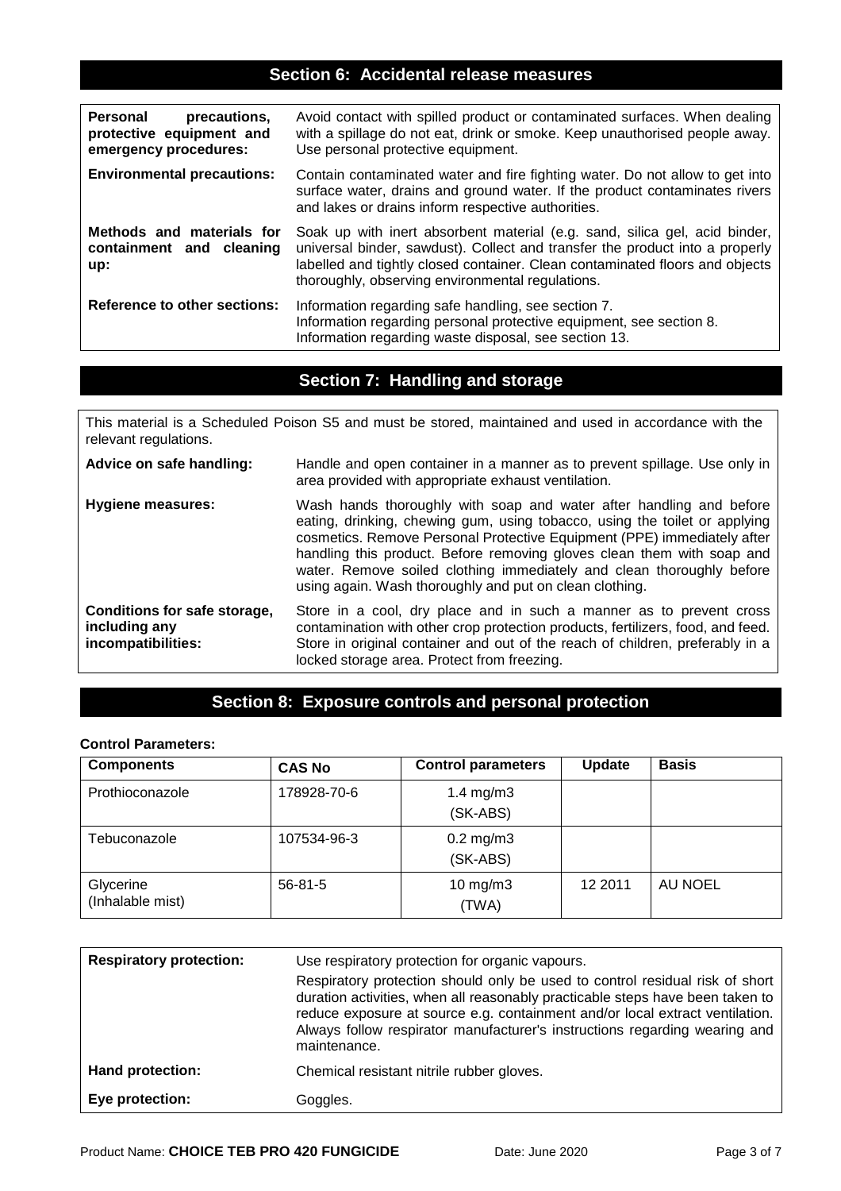### **Section 6: Accidental release measures**

| Personal<br>precautions,<br>protective equipment and<br>emergency procedures: | Avoid contact with spilled product or contaminated surfaces. When dealing<br>with a spillage do not eat, drink or smoke. Keep unauthorised people away.<br>Use personal protective equipment.                                                                                                  |
|-------------------------------------------------------------------------------|------------------------------------------------------------------------------------------------------------------------------------------------------------------------------------------------------------------------------------------------------------------------------------------------|
| <b>Environmental precautions:</b>                                             | Contain contaminated water and fire fighting water. Do not allow to get into<br>surface water, drains and ground water. If the product contaminates rivers<br>and lakes or drains inform respective authorities.                                                                               |
| Methods and materials for<br>containment and cleaning<br>up:                  | Soak up with inert absorbent material (e.g. sand, silica gel, acid binder,<br>universal binder, sawdust). Collect and transfer the product into a properly<br>labelled and tightly closed container. Clean contaminated floors and objects<br>thoroughly, observing environmental regulations. |
| <b>Reference to other sections:</b>                                           | Information regarding safe handling, see section 7.<br>Information regarding personal protective equipment, see section 8.<br>Information regarding waste disposal, see section 13.                                                                                                            |

### **Section 7: Handling and storage**

This material is a Scheduled Poison S5 and must be stored, maintained and used in accordance with the relevant regulations.

| Advice on safe handling:                                            | Handle and open container in a manner as to prevent spillage. Use only in<br>area provided with appropriate exhaust ventilation.                                                                                                                                                                                                                                                                                                           |
|---------------------------------------------------------------------|--------------------------------------------------------------------------------------------------------------------------------------------------------------------------------------------------------------------------------------------------------------------------------------------------------------------------------------------------------------------------------------------------------------------------------------------|
| <b>Hygiene measures:</b>                                            | Wash hands thoroughly with soap and water after handling and before<br>eating, drinking, chewing gum, using tobacco, using the toilet or applying<br>cosmetics. Remove Personal Protective Equipment (PPE) immediately after<br>handling this product. Before removing gloves clean them with soap and<br>water. Remove soiled clothing immediately and clean thoroughly before<br>using again. Wash thoroughly and put on clean clothing. |
| Conditions for safe storage,<br>including any<br>incompatibilities: | Store in a cool, dry place and in such a manner as to prevent cross<br>contamination with other crop protection products, fertilizers, food, and feed.<br>Store in original container and out of the reach of children, preferably in a<br>locked storage area. Protect from freezing.                                                                                                                                                     |

### **Section 8: Exposure controls and personal protection**

### **Control Parameters:**

| <b>Components</b>             | <b>CAS No</b> | <b>Control parameters</b>  | <b>Update</b> | <b>Basis</b> |
|-------------------------------|---------------|----------------------------|---------------|--------------|
| Prothioconazole               | 178928-70-6   | 1.4 $mg/m3$<br>(SK-ABS)    |               |              |
| Tebuconazole                  | 107534-96-3   | $0.2$ mg/m $3$<br>(SK-ABS) |               |              |
| Glycerine<br>(Inhalable mist) | $56 - 81 - 5$ | $10$ mg/m $3$<br>(TWA)     | 12 2011       | AU NOEL      |

| <b>Respiratory protection:</b> | Use respiratory protection for organic vapours.                                                                                                                                                                                                                                                                                             |  |
|--------------------------------|---------------------------------------------------------------------------------------------------------------------------------------------------------------------------------------------------------------------------------------------------------------------------------------------------------------------------------------------|--|
|                                | Respiratory protection should only be used to control residual risk of short<br>duration activities, when all reasonably practicable steps have been taken to<br>reduce exposure at source e.g. containment and/or local extract ventilation.<br>Always follow respirator manufacturer's instructions regarding wearing and<br>maintenance. |  |
| Hand protection:               | Chemical resistant nitrile rubber gloves.                                                                                                                                                                                                                                                                                                   |  |
| Eye protection:                | Goggles.                                                                                                                                                                                                                                                                                                                                    |  |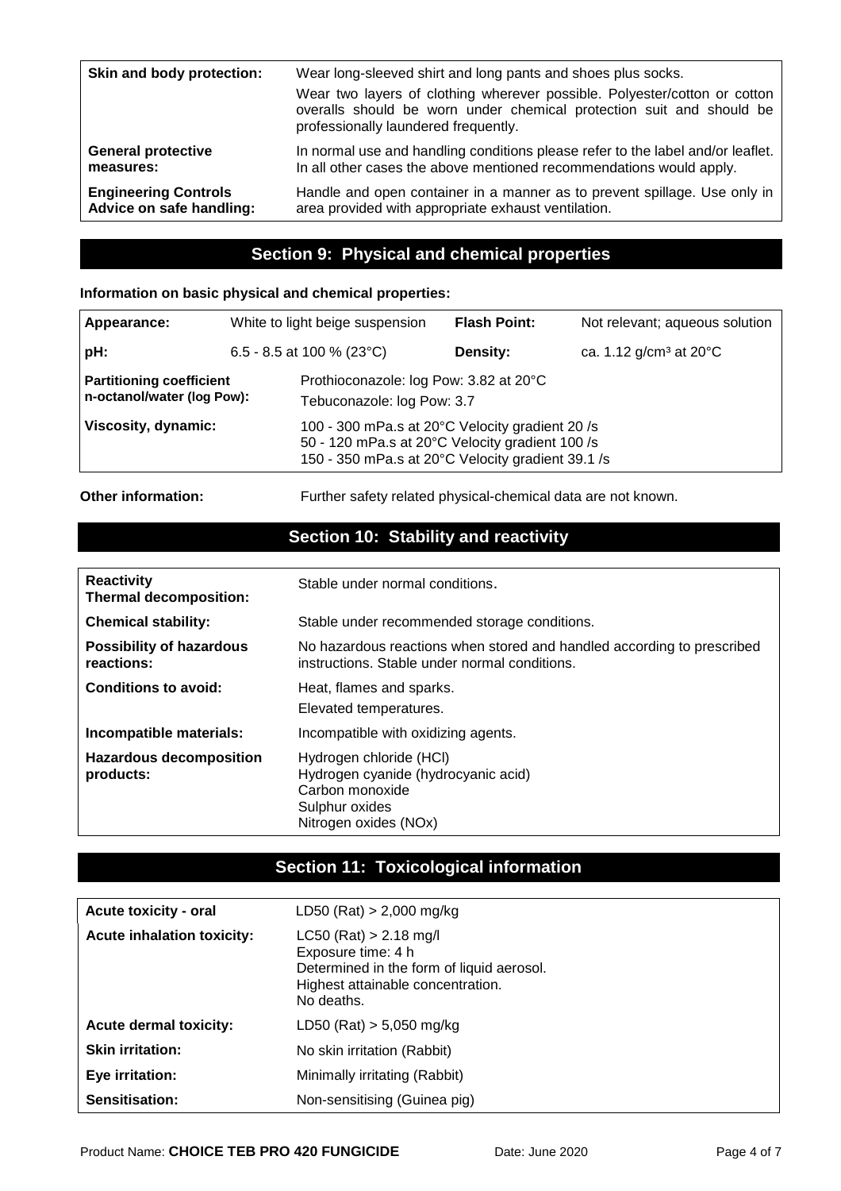| Skin and body protection:   | Wear long-sleeved shirt and long pants and shoes plus socks.<br>Wear two layers of clothing wherever possible. Polyester/cotton or cotton<br>overalls should be worn under chemical protection suit and should be<br>professionally laundered frequently. |
|-----------------------------|-----------------------------------------------------------------------------------------------------------------------------------------------------------------------------------------------------------------------------------------------------------|
| <b>General protective</b>   | In normal use and handling conditions please refer to the label and/or leaflet.                                                                                                                                                                           |
| measures:                   | In all other cases the above mentioned recommendations would apply.                                                                                                                                                                                       |
| <b>Engineering Controls</b> | Handle and open container in a manner as to prevent spillage. Use only in                                                                                                                                                                                 |
| Advice on safe handling:    | area provided with appropriate exhaust ventilation.                                                                                                                                                                                                       |

### **Section 9: Physical and chemical properties**

### **Information on basic physical and chemical properties:**

| Appearance:                                                   |                            | White to light beige suspension                                                                                                                         | <b>Flash Point:</b> | Not relevant; aqueous solution     |
|---------------------------------------------------------------|----------------------------|---------------------------------------------------------------------------------------------------------------------------------------------------------|---------------------|------------------------------------|
| pH:                                                           | 6.5 - 8.5 at 100 % (23 °C) |                                                                                                                                                         | Density:            | ca. 1.12 g/cm <sup>3</sup> at 20°C |
| <b>Partitioning coefficient</b><br>n-octanol/water (log Pow): |                            | Prothioconazole: log Pow: 3.82 at 20°C<br>Tebuconazole: log Pow: 3.7                                                                                    |                     |                                    |
| Viscosity, dynamic:                                           |                            | 100 - 300 mPa.s at 20°C Velocity gradient 20 /s<br>50 - 120 mPa.s at 20°C Velocity gradient 100 /s<br>150 - 350 mPa.s at 20°C Velocity gradient 39.1 /s |                     |                                    |

**Other information:** Further safety related physical-chemical data are not known.

# **Section 10: Stability and reactivity**

| <b>Reactivity</b><br><b>Thermal decomposition:</b> | Stable under normal conditions.                                                                                              |
|----------------------------------------------------|------------------------------------------------------------------------------------------------------------------------------|
| <b>Chemical stability:</b>                         | Stable under recommended storage conditions.                                                                                 |
| <b>Possibility of hazardous</b><br>reactions:      | No hazardous reactions when stored and handled according to prescribed<br>instructions. Stable under normal conditions.      |
| <b>Conditions to avoid:</b>                        | Heat, flames and sparks.<br>Elevated temperatures.                                                                           |
| Incompatible materials:                            | Incompatible with oxidizing agents.                                                                                          |
| <b>Hazardous decomposition</b><br>products:        | Hydrogen chloride (HCI)<br>Hydrogen cyanide (hydrocyanic acid)<br>Carbon monoxide<br>Sulphur oxides<br>Nitrogen oxides (NOx) |

# **Section 11: Toxicological information**

| <b>Acute toxicity - oral</b>      | LD50 (Rat) $> 2,000$ mg/kg                                                                                                                     |
|-----------------------------------|------------------------------------------------------------------------------------------------------------------------------------------------|
| <b>Acute inhalation toxicity:</b> | $LC50$ (Rat) > 2.18 mg/l<br>Exposure time: 4 h<br>Determined in the form of liquid aerosol.<br>Highest attainable concentration.<br>No deaths. |
| <b>Acute dermal toxicity:</b>     | LD50 (Rat) $> 5,050$ mg/kg                                                                                                                     |
| <b>Skin irritation:</b>           | No skin irritation (Rabbit)                                                                                                                    |
| Eye irritation:                   | Minimally irritating (Rabbit)                                                                                                                  |
| Sensitisation:                    | Non-sensitising (Guinea pig)                                                                                                                   |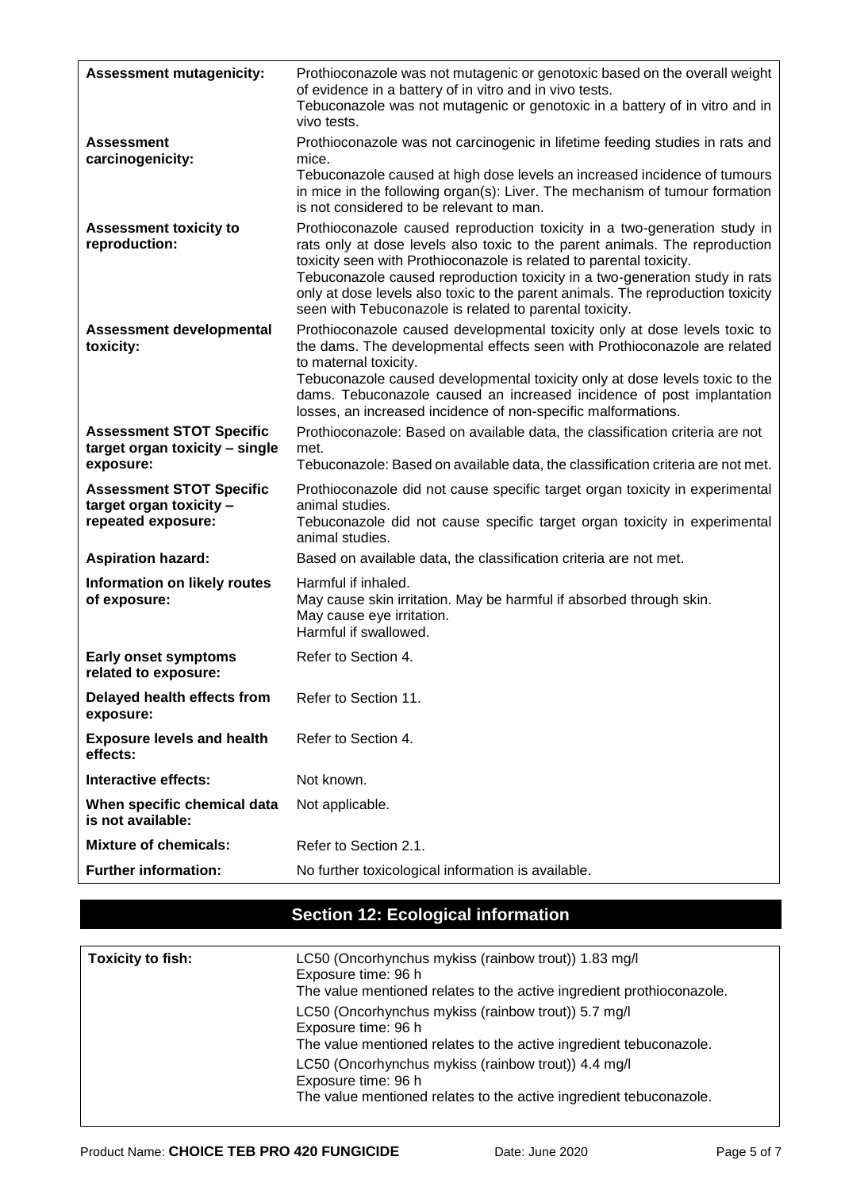| <b>Assessment mutagenicity:</b>                                                  | Prothioconazole was not mutagenic or genotoxic based on the overall weight<br>of evidence in a battery of in vitro and in vivo tests.<br>Tebuconazole was not mutagenic or genotoxic in a battery of in vitro and in<br>vivo tests.                                                                                                                                                                                                                          |  |
|----------------------------------------------------------------------------------|--------------------------------------------------------------------------------------------------------------------------------------------------------------------------------------------------------------------------------------------------------------------------------------------------------------------------------------------------------------------------------------------------------------------------------------------------------------|--|
| <b>Assessment</b><br>carcinogenicity:                                            | Prothioconazole was not carcinogenic in lifetime feeding studies in rats and<br>mice.<br>Tebuconazole caused at high dose levels an increased incidence of tumours<br>in mice in the following organ(s): Liver. The mechanism of tumour formation<br>is not considered to be relevant to man.                                                                                                                                                                |  |
| <b>Assessment toxicity to</b><br>reproduction:                                   | Prothioconazole caused reproduction toxicity in a two-generation study in<br>rats only at dose levels also toxic to the parent animals. The reproduction<br>toxicity seen with Prothioconazole is related to parental toxicity.<br>Tebuconazole caused reproduction toxicity in a two-generation study in rats<br>only at dose levels also toxic to the parent animals. The reproduction toxicity<br>seen with Tebuconazole is related to parental toxicity. |  |
| <b>Assessment developmental</b><br>toxicity:                                     | Prothioconazole caused developmental toxicity only at dose levels toxic to<br>the dams. The developmental effects seen with Prothioconazole are related<br>to maternal toxicity.<br>Tebuconazole caused developmental toxicity only at dose levels toxic to the<br>dams. Tebuconazole caused an increased incidence of post implantation<br>losses, an increased incidence of non-specific malformations.                                                    |  |
| <b>Assessment STOT Specific</b><br>target organ toxicity - single<br>exposure:   | Prothioconazole: Based on available data, the classification criteria are not<br>met.<br>Tebuconazole: Based on available data, the classification criteria are not met.                                                                                                                                                                                                                                                                                     |  |
| <b>Assessment STOT Specific</b><br>target organ toxicity -<br>repeated exposure: | Prothioconazole did not cause specific target organ toxicity in experimental<br>animal studies.<br>Tebuconazole did not cause specific target organ toxicity in experimental<br>animal studies.                                                                                                                                                                                                                                                              |  |
| <b>Aspiration hazard:</b>                                                        | Based on available data, the classification criteria are not met.                                                                                                                                                                                                                                                                                                                                                                                            |  |
| Information on likely routes<br>of exposure:                                     | Harmful if inhaled.<br>May cause skin irritation. May be harmful if absorbed through skin.<br>May cause eye irritation.<br>Harmful if swallowed.                                                                                                                                                                                                                                                                                                             |  |
| <b>Early onset symptoms</b><br>related to exposure:                              | Refer to Section 4.                                                                                                                                                                                                                                                                                                                                                                                                                                          |  |
| Delayed health effects from<br>exposure:                                         | Refer to Section 11.                                                                                                                                                                                                                                                                                                                                                                                                                                         |  |
| <b>Exposure levels and health</b><br>effects:                                    | Refer to Section 4.                                                                                                                                                                                                                                                                                                                                                                                                                                          |  |
| Interactive effects:                                                             | Not known.                                                                                                                                                                                                                                                                                                                                                                                                                                                   |  |
| When specific chemical data<br>is not available:                                 | Not applicable.                                                                                                                                                                                                                                                                                                                                                                                                                                              |  |
| <b>Mixture of chemicals:</b>                                                     | Refer to Section 2.1.                                                                                                                                                                                                                                                                                                                                                                                                                                        |  |
| <b>Further information:</b>                                                      | No further toxicological information is available.                                                                                                                                                                                                                                                                                                                                                                                                           |  |

# **Section 12: Ecological information**

| Toxicity to fish: | LC50 (Oncorhynchus mykiss (rainbow trout)) 1.83 mg/l<br>Exposure time: 96 h<br>The value mentioned relates to the active ingredient prothioconazole. |
|-------------------|------------------------------------------------------------------------------------------------------------------------------------------------------|
|                   | LC50 (Oncorhynchus mykiss (rainbow trout)) 5.7 mg/l<br>Exposure time: 96 h<br>The value mentioned relates to the active ingredient tebuconazole.     |
|                   | LC50 (Oncorhynchus mykiss (rainbow trout)) 4.4 mg/l<br>Exposure time: 96 h<br>The value mentioned relates to the active ingredient tebuconazole.     |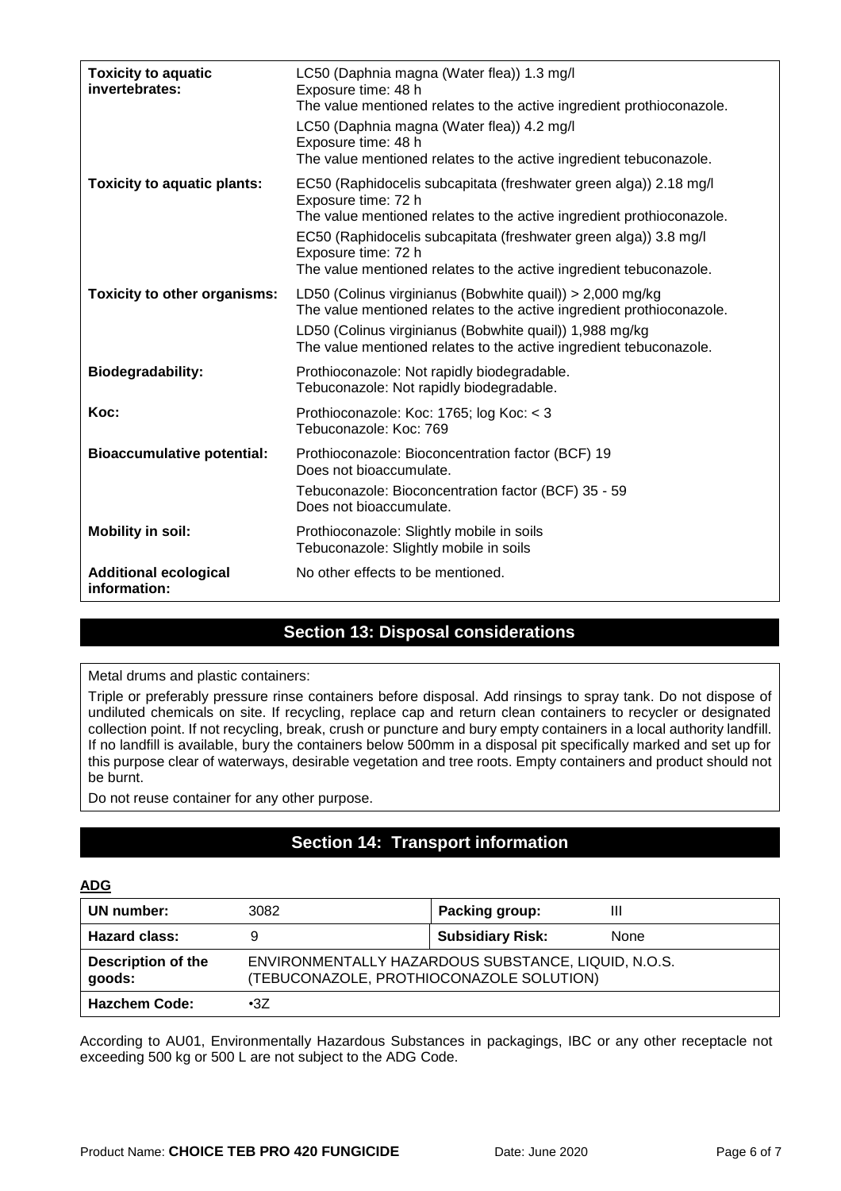| <b>Toxicity to aquatic</b><br>invertebrates: | LC50 (Daphnia magna (Water flea)) 1.3 mg/l<br>Exposure time: 48 h<br>The value mentioned relates to the active ingredient prothioconazole.<br>LC50 (Daphnia magna (Water flea)) 4.2 mg/l<br>Exposure time: 48 h<br>The value mentioned relates to the active ingredient tebuconazole.                                              |
|----------------------------------------------|------------------------------------------------------------------------------------------------------------------------------------------------------------------------------------------------------------------------------------------------------------------------------------------------------------------------------------|
| <b>Toxicity to aquatic plants:</b>           | EC50 (Raphidocelis subcapitata (freshwater green alga)) 2.18 mg/l<br>Exposure time: 72 h<br>The value mentioned relates to the active ingredient prothioconazole.<br>EC50 (Raphidocelis subcapitata (freshwater green alga)) 3.8 mg/l<br>Exposure time: 72 h<br>The value mentioned relates to the active ingredient tebuconazole. |
| <b>Toxicity to other organisms:</b>          | LD50 (Colinus virginianus (Bobwhite quail)) > 2,000 mg/kg<br>The value mentioned relates to the active ingredient prothioconazole.<br>LD50 (Colinus virginianus (Bobwhite quail)) 1,988 mg/kg<br>The value mentioned relates to the active ingredient tebuconazole.                                                                |
| <b>Biodegradability:</b>                     | Prothioconazole: Not rapidly biodegradable.<br>Tebuconazole: Not rapidly biodegradable.                                                                                                                                                                                                                                            |
| Koc:                                         | Prothioconazole: Koc: 1765; log Koc: < 3<br>Tebuconazole: Koc: 769                                                                                                                                                                                                                                                                 |
| <b>Bioaccumulative potential:</b>            | Prothioconazole: Bioconcentration factor (BCF) 19<br>Does not bioaccumulate.<br>Tebuconazole: Bioconcentration factor (BCF) 35 - 59<br>Does not bioaccumulate.                                                                                                                                                                     |
| <b>Mobility in soil:</b>                     | Prothioconazole: Slightly mobile in soils<br>Tebuconazole: Slightly mobile in soils                                                                                                                                                                                                                                                |
| <b>Additional ecological</b><br>information: | No other effects to be mentioned.                                                                                                                                                                                                                                                                                                  |

### **Section 13: Disposal considerations**

Metal drums and plastic containers:

Triple or preferably pressure rinse containers before disposal. Add rinsings to spray tank. Do not dispose of undiluted chemicals on site. If recycling, replace cap and return clean containers to recycler or designated collection point. If not recycling, break, crush or puncture and bury empty containers in a local authority landfill. If no landfill is available, bury the containers below 500mm in a disposal pit specifically marked and set up for this purpose clear of waterways, desirable vegetation and tree roots. Empty containers and product should not be burnt.

Do not reuse container for any other purpose.

# **Section 14: Transport information**

#### **ADG**

| UN number:                          | 3082                                                                                            | Packing group:          |      |
|-------------------------------------|-------------------------------------------------------------------------------------------------|-------------------------|------|
| <b>Hazard class:</b>                | 9                                                                                               | <b>Subsidiary Risk:</b> | None |
| <b>Description of the</b><br>goods: | ENVIRONMENTALLY HAZARDOUS SUBSTANCE, LIQUID, N.O.S.<br>(TEBUCONAZOLE, PROTHIOCONAZOLE SOLUTION) |                         |      |
| <b>Hazchem Code:</b>                | •3Z                                                                                             |                         |      |

According to AU01, Environmentally Hazardous Substances in packagings, IBC or any other receptacle not exceeding 500 kg or 500 L are not subject to the ADG Code.